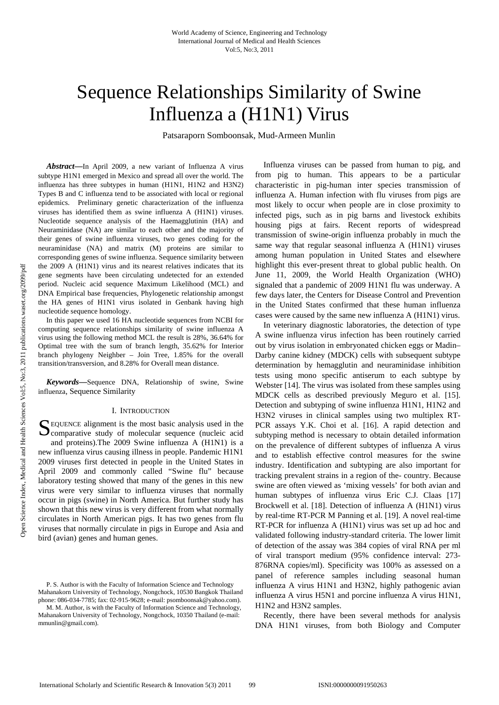# Sequence Relationships Similarity of Swine Influenza a (H1N1) Virus

Patsaraporn Somboonsak, Mud-Armeen Munlin

*Abstract***—**In April 2009, a new variant of Influenza A virus subtype H1N1 emerged in Mexico and spread all over the world. The influenza has three subtypes in human (H1N1, H1N2 and H3N2) Types B and C influenza tend to be associated with local or regional epidemics. Preliminary genetic characterization of the influenza viruses has identified them as swine influenza A (H1N1) viruses. Nucleotide sequence analysis of the Haemagglutinin (HA) and Neuraminidase (NA) are similar to each other and the majority of their genes of swine influenza viruses, two genes coding for the neuraminidase (NA) and matrix (M) proteins are similar to corresponding genes of swine influenza. Sequence similarity between the 2009 A (H1N1) virus and its nearest relatives indicates that its gene segments have been circulating undetected for an extended period. Nucleic acid sequence Maximum Likelihood (MCL) and DNA Empirical base frequencies, Phylogenetic relationship amongst the HA genes of H1N1 virus isolated in Genbank having high nucleotide sequence homology.

In this paper we used 16 HA nucleotide sequences from NCBI for computing sequence relationships similarity of swine influenza A virus using the following method MCL the result is 28%, 36.64% for Optimal tree with the sum of branch length, 35.62% for Interior branch phylogeny Neighber – Join Tree, 1.85% for the overall transition/transversion, and 8.28% for Overall mean distance.

*Keywords***—**Sequence DNA, Relationship of swine, Swine influenza, Sequence Similarity

### I. INTRODUCTION

EQUENCE alignment is the most basic analysis used in the SEQUENCE alignment is the most basic analysis used in the comparative study of molecular sequence (nucleic acid and proteins).The 2009 Swine influenza A (H1N1) is a new influenza virus causing illness in people. Pandemic H1N1 2009 viruses first detected in people in the United States in April 2009 and commonly called "Swine flu" because laboratory testing showed that many of the genes in this new virus were very similar to influenza viruses that normally occur in pigs (swine) in North America. But further study has shown that this new virus is very different from what normally circulates in North American pigs. It has two genes from flu viruses that normally circulate in pigs in Europe and Asia and bird (avian) genes and human genes.

Influenza viruses can be passed from human to pig, and from pig to human. This appears to be a particular characteristic in pig-human inter species transmission of influenza A. Human infection with flu viruses from pigs are most likely to occur when people are in close proximity to infected pigs, such as in pig barns and livestock exhibits housing pigs at fairs. Recent reports of widespread transmission of swine-origin influenza probably in much the same way that regular seasonal influenza A (H1N1) viruses among human population in United States and elsewhere highlight this ever-present threat to global public health. On June 11, 2009, the World Health Organization (WHO) signaled that a pandemic of 2009 H1N1 flu was underway. A few days later, the Centers for Disease Control and Prevention in the United States confirmed that these human influenza cases were caused by the same new influenza A (H1N1) virus.

In veterinary diagnostic laboratories, the detection of type A swine influenza virus infection has been routinely carried out by virus isolation in embryonated chicken eggs or Madin– Darby canine kidney (MDCK) cells with subsequent subtype determination by hemagglutin and neuraminidase inhibition tests using mono specific antiserum to each subtype by Webster [14]. The virus was isolated from these samples using MDCK cells as described previously Meguro et al. [15]. Detection and subtyping of swine influenza H1N1, H1N2 and H3N2 viruses in clinical samples using two multiplex RT-PCR assays Y.K. Choi et al. [16]. A rapid detection and subtyping method is necessary to obtain detailed information on the prevalence of different subtypes of influenza A virus and to establish effective control measures for the swine industry. Identification and subtyping are also important for tracking prevalent strains in a region of the- country. Because swine are often viewed as 'mixing vessels' for both avian and human subtypes of influenza virus Eric C.J. Claas [17] Brockwell et al. [18]. Detection of influenza A (H1N1) virus by real-time RT-PCR M Panning et al. [19]. A novel real-time RT-PCR for influenza A (H1N1) virus was set up ad hoc and validated following industry-standard criteria. The lower limit of detection of the assay was 384 copies of viral RNA per ml of viral transport medium (95% confidence interval: 273- 876RNA copies/ml). Specificity was 100% as assessed on a panel of reference samples including seasonal human influenza A virus H1N1 and H3N2, highly pathogenic avian influenza A virus H5N1 and porcine influenza A virus H1N1, H1N2 and H3N2 samples.

Recently, there have been several methods for analysis DNA H1N1 viruses, from both Biology and Computer

P. S. Author is with the Faculty of Information Science and Technology Mahanakorn University of Technology, Nongchock, 10530 Bangkok Thailand phone: 086-034-7785; fax: 02-915-9628; e-mail: psomboonsak@yahoo.com).

M. M. Author, is with the Faculty of Information Science and Technology, Mahanakorn University of Technology, Nongchock, 10350 Thailand (e-mail: mmunlin@gmail.com).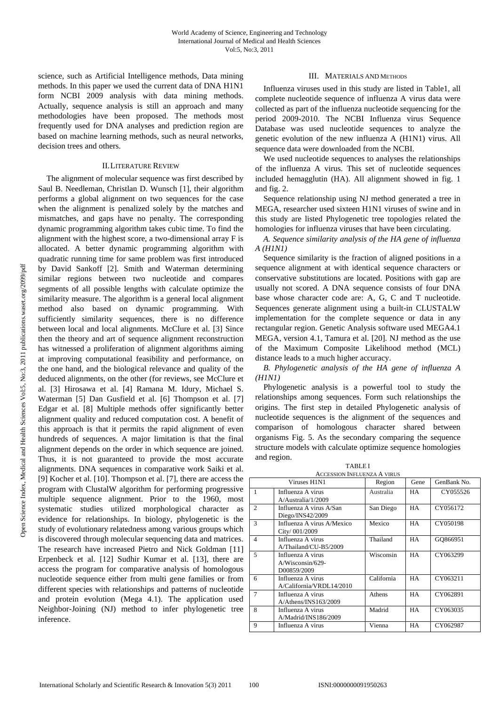science, such as Artificial Intelligence methods, Data mining methods. In this paper we used the current data of DNA H1N1 form NCBI 2009 analysis with data mining methods. Actually, sequence analysis is still an approach and many methodologies have been proposed. The methods most frequently used for DNA analyses and prediction region are based on machine learning methods, such as neural networks, decision trees and others.

## II.LITERATURE REVIEW

The alignment of molecular sequence was first described by Saul B. Needleman, Christlan D. Wunsch [1], their algorithm performs a global alignment on two sequences for the case when the alignment is penalized solely by the matches and mismatches, and gaps have no penalty. The corresponding dynamic programming algorithm takes cubic time. To find the alignment with the highest score, a two-dimensional array F is allocated. A better dynamic programming algorithm with quadratic running time for same problem was first introduced by David Sankoff [2]. Smith and Waterman determining similar regions between two nucleotide and compares segments of all possible lengths with calculate optimize the similarity measure. The algorithm is a general local alignment method also based on dynamic programming. With sufficiently similarity sequences, there is no difference between local and local alignments. McClure et al. [3] Since then the theory and art of sequence alignment reconstruction has witnessed a proliferation of alignment algorithms aiming at improving computational feasibility and performance, on the one hand, and the biological relevance and quality of the deduced alignments, on the other (for reviews, see McClure et al. [3] Hirosawa et al. [4] Ramana M. Idury, Michael S. Waterman [5] Dan Gusfield et al. [6] Thompson et al. [7] Edgar et al. [8] Multiple methods offer significantly better alignment quality and reduced computation cost. A benefit of this approach is that it permits the rapid alignment of even hundreds of sequences. A major limitation is that the final alignment depends on the order in which sequence are joined. Thus, it is not guaranteed to provide the most accurate alignments. DNA sequences in comparative work Saiki et al. [9] Kocher et al. [10]. Thompson et al. [7], there are access the program with ClustalW algorithm for performing progressive multiple sequence alignment. Prior to the 1960, most systematic studies utilized morphological character as evidence for relationships. In biology, phylogenetic is the study of evolutionary relatedness among various groups which is discovered through molecular sequencing data and matrices. The research have increased Pietro and Nick Goldman [11] Erpenbeck et al. [12] Sudhir Kumar et al. [13], there are access the program for comparative analysis of homologous nucleotide sequence either from multi gene families or from different species with relationships and patterns of nucleotide and protein evolution (Mega 4.1). The application used Neighbor-Joining (NJ) method to infer phylogenetic tree inference.

# III. MATERIALS AND METHODS

Influenza viruses used in this study are listed in Table1, all complete nucleotide sequence of influenza A virus data were collected as part of the influenza nucleotide sequencing for the period 2009-2010. The NCBI Influenza virus Sequence Database was used nucleotide sequences to analyze the genetic evolution of the new influenza A (H1N1) virus. All sequence data were downloaded from the NCBI.

We used nucleotide sequences to analyses the relationships of the influenza A virus. This set of nucleotide sequences included hemagglutin (HA). All alignment showed in fig. 1 and fig. 2.

Sequence relationship using NJ method generated a tree in MEGA, researcher used sixteen H1N1 viruses of swine and in this study are listed Phylogenetic tree topologies related the homologies for influenza viruses that have been circulating.

*A. Sequence similarity analysis of the HA gene of influenza A (H1N1)* 

Sequence similarity is the fraction of aligned positions in a sequence alignment at with identical sequence characters or conservative substitutions are located. Positions with gap are usually not scored. A DNA sequence consists of four DNA base whose character code are: A, G, C and T nucleotide. Sequences generate alignment using a built-in CLUSTALW implementation for the complete sequence or data in any rectangular region. Genetic Analysis software used MEGA4.1 MEGA, version 4.1, Tamura et al. [20]. NJ method as the use of the Maximum Composite Likelihood method (MCL) distance leads to a much higher accuracy.

*B. Phylogenetic analysis of the HA gene of influenza A (H1N1)* 

Phylogenetic analysis is a powerful tool to study the relationships among sequences. Form such relationships the origins. The first step in detailed Phylogenetic analysis of nucleotide sequences is the alignment of the sequences and comparison of homologous character shared between organisms Fig. 5. As the secondary comparing the sequence structure models with calculate optimize sequence homologies and region.

TABLE I A CCESSION INELIENZA A VIRUS

|                | Viruses H1N1                                            | Region     | Gene      | GenBank No. |
|----------------|---------------------------------------------------------|------------|-----------|-------------|
| $\mathbf{1}$   | Influenza A virus<br>A/Australia/1/2009                 | Australia  | HA        | CY055526    |
| $\mathfrak{2}$ | Influenza A virus A/San<br>Diego/INS42/2009             | San Diego  | HA        | CY056172    |
| 3              | Influenza A virus A/Mexico<br>City/001/2009             | Mexico     | <b>HA</b> | CY050198    |
| 4              | Influenza A virus<br>A/Thailand/CU-B5/2009              | Thailand   | <b>HA</b> | GO866951    |
| 5              | Influenza A virus<br>$A/W$ isconsin/629-<br>D00859/2009 | Wisconsin  | HA        | CY063299    |
| 6              | Influenza A virus<br>A/California/VRDL14/2010           | California | <b>HA</b> | CY063211    |
| $\overline{7}$ | Influenza A virus<br>$A/A$ thens/INS163/2009            | Athens     | <b>HA</b> | CY062891    |
| 8              | Influenza A virus<br>A/Madrid/INS186/2009               | Madrid     | <b>HA</b> | CY063035    |
| 9              | Influenza A virus                                       | Vienna     | HA        | CY062987    |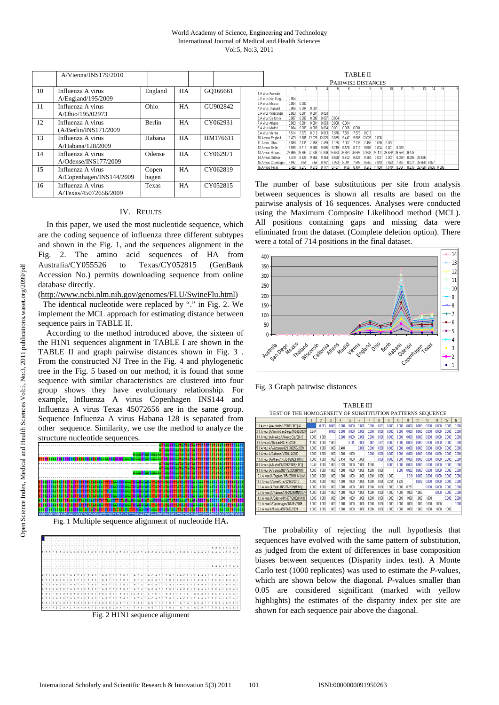|     | A/Vienna/INS179/2010                          |                |           |          |
|-----|-----------------------------------------------|----------------|-----------|----------|
| 10  | Influenza A virus<br>A/England/195/2009       | England        | <b>HA</b> | GO166661 |
| 11  | Influenza A virus<br>A/Ohio/195/02973         | Ohio           | HA        | GU902842 |
| 12. | Influenza A virus<br>(A/Berlin/INS171/2009    | Berlin         | HA        | CY062931 |
| 13  | Influenza A virus<br>A/Habana/128/2009        | Habana         | <b>HA</b> | HM176611 |
| 14  | Influenza A virus<br>A/Odense/INS177/2009     | Odense         | <b>HA</b> | CY062971 |
| 15  | Influenza A virus<br>A/Copenhagen/INS144/2009 | Copen<br>hagen | <b>HA</b> | CY062819 |
| 16  | Influenza A virus<br>A/Texas/45072656/2009    | Texas          | <b>HA</b> | CY052815 |

## IV. REULTS

In this paper, we used the most nucleotide sequence, which are the coding sequence of influenza three different subtypes and shown in the Fig. 1, and the sequences alignment in the Fig. 2. The amino acid sequences of HA from Australia/CY055526 to Texas/CY052815 (GenBank Accession No.) permits downloading sequence from online database directly.

# (http://www.ncbi.nlm.nih.gov/genomes/FLU/SwineFlu.html)

The identical nucleotide were replaced by "." in Fig. 2. We implement the MCL approach for estimating distance between sequence pairs in TABLE II.

 According to the method introduced above, the sixteen of the H1N1 sequences alignment in TABLE I are shown in the TABLE II and graph pairwise distances shown in Fig. 3 . From the constructed NJ Tree in the Fig. 4 and phylogenetic tree in the Fig. 5 based on our method, it is found that some sequence with similar characteristics are clustered into four group shows they have evolutionary relationship. For example, Influenza A virus Copenhagen INS144 and Influenza A virus Texas 45072656 are in the same group. Sequence Influenza A virus Habana 128 is separated from other sequence. Similarity, we use the method to analyze the structure nucleotide sequences.



Fig. 1 Multiple sequence alignment of nucleotide HA**.** 



Fig. 2 H1N1 sequence alignment

|                      | <b>TABLE II</b><br>PAIRWISE DISTANCES |        |        |        |        |        |        |        |        |        |        |        |        |             |    |    |
|----------------------|---------------------------------------|--------|--------|--------|--------|--------|--------|--------|--------|--------|--------|--------|--------|-------------|----|----|
|                      |                                       |        |        |        |        |        |        |        |        |        |        |        |        |             |    |    |
|                      |                                       |        | 3      |        | h      | 6      |        | 8      | 9      | 10     | 11     | 12     | 13     | 14          | 15 | 16 |
| A virus Australia    |                                       |        |        |        |        |        |        |        |        |        |        |        |        |             |    |    |
| 2.A virus San Diego  | 0.004                                 |        |        |        |        |        |        |        |        |        |        |        |        |             |    |    |
| 3 A virus Mexico     | 0.004                                 | 0.003  |        |        |        |        |        |        |        |        |        |        |        |             |    |    |
| 4.A virus Thailand   | 0.006                                 | 0.004  | 0.001  |        |        |        |        |        |        |        |        |        |        |             |    |    |
| 5.A virus Wusconsin  | 0.003                                 | n nn 1 | 0.001  | n nrs  |        |        |        |        |        |        |        |        |        |             |    |    |
| 6.A virus California | 0.007                                 | 0.006  | 0.006  | 0.007  | 0.004  |        |        |        |        |        |        |        |        |             |    |    |
| 7 A virus Athens     | 0.003                                 | n nn 1 | n mi   | n nra  | 0.000  | n nn 4 |        |        |        |        |        |        |        |             |    |    |
| 8.A virus Madrid     | 0.004                                 | 0.003  | 0.003  | 0.004  | 0.001  | 0.006  | 0.001  |        |        |        |        |        |        |             |    |    |
| 9.A virus Vienna     | 7.514                                 | 7.576  | 8.013  | 8.013  | 7.576  | 7.501  | 7.576  | 8.013  |        |        |        |        |        |             |    |    |
| 10.A virus England   | 9.473                                 | 9.685  | 12.025 | 12.025 | 9.685  | 9.447  | 9.685  | 12.025 | 0.006  |        |        |        |        |             |    |    |
| 11.A vius Ohio       | 7.088                                 | 7.135  | 7.459  | 7.459  | 7.135  | 7.007  | 7.135  | 7.459  | 0.090  | 0.087  |        |        |        |             |    |    |
| 12 A virus Berlin    | 8.595                                 | 8719   | 9.695  | 9.6%   | 8719   | 8.578  | 8.719  | 9.685  | 0.004  | 0.001  | 0.089  |        |        |             |    |    |
| 13. A virus Habana   | 26.985                                | 26.693 | 27.738 | 27.839 | 26.693 | 26.864 | 26.693 | 27.633 | 29.401 | 29.639 | 29.858 | 29.479 |        |             |    |    |
| 14.A virus Odense    | 8.418                                 | 8.528  | 9.364  | 9.364  | 8.528  | 8.402  | 8.528  | 9.364  | 0.007  | 0.007  | 0.089  | 0.006  | 29.526 |             |    |    |
| 15.A virus Copehagen | 7.947                                 | 8.55   | 8.55   | 8.487  | 7.993  | 8.041  | 7.993  | 8.550  | 9.818  | 7.593  | 7.887  | 8.027  | 29.668 | 8.077       |    |    |
| 16.A virus Texas     | 8.425                                 | 9.272  | 9.272  | 9.177  | 8.487  | 8.55   | 8.487  | 9.272  | 11.989 | 7.979  | 8.354  | 8.539  | 29.420 | 8.606 0.006 |    |    |

The number of base substitutions per site from analysis between sequences is shown all results are based on the pairwise analysis of 16 sequences. Analyses were conducted using the Maximum Composite Likelihood method (MCL). All positions containing gaps and missing data were eliminated from the dataset (Complete deletion option). There were a total of 714 positions in the final dataset.



Fig. 3 Graph pairwise distances

| TABLE III                                                 |       |                         |       |       |       |       |       |       |       |                  |       |       |       |       |       |       |
|-----------------------------------------------------------|-------|-------------------------|-------|-------|-------|-------|-------|-------|-------|------------------|-------|-------|-------|-------|-------|-------|
| TEST OF THE HOMOGENEITY OF SUBSTITUTION PATTERNS SEQUENCE |       |                         |       |       |       |       |       |       |       |                  |       |       |       |       |       |       |
|                                                           |       | $\overline{\mathbf{c}}$ | 3     |       | 5     | 6     |       | 8     | 9     | 10 <sup>10</sup> | 11    | 12    | 13    | 14    | 15    | 16    |
| A virus (A/Australia/1/2009(H1N1)) A/                     |       | 0.003                   | 0.000 | 0.000 | 0000  | 0.000 | 0.000 | 0.003 | 0.000 | 0.000            | 0000  | 0.000 | 0.000 | 0000  | 0.000 | 0.000 |
| 2. I. A virus (A/San A/San Diego/INS42/2009               | 0.247 |                         | 0.000 | 0.000 | 0000  | 0.000 | 0.000 | 0.000 | 0.000 | 0.000            | 0.000 | 0.000 | 0.000 | 0.000 | 0.000 | 0.000 |
| 3. I. A virus (A/Mexico A/Mexico City/001/2               | 1.000 | 1.000                   |       | 0.000 | 0.000 | 0.000 | 0.000 | 0.000 | 0.OOC | 0.000            | 0.000 | 0.000 | 0.OOO | 0.000 | 0.000 | 0.000 |
| 4. I. A virus A/Thailand/CU-B5/2009                       | 1.000 | 1.000                   | 1.000 |       | 0.001 | 0.000 | 0.001 | 0.001 | 0.000 | 0.000            | 0.000 | 0.000 | 0.000 | 0.000 | 0.000 | 0.000 |
| 5. I. A virus A/Wisconsin/629-D00859/2009                 | 1.000 | 1.000                   | 1.000 | 0.400 |       | 0.000 | 0.000 | 0.000 | 0.000 | 0.000            | 0000  | 0.000 | 0.000 | 0000  | 0.000 | 0.000 |
| 6. I. A virus A/California/VRDL14/2010                    | 1000  | 1.000                   | 1,000 | 1.000 | 1.000 |       | 0.000 | 0.000 | 0.000 | 0.000            | 0.000 | 0.000 | 0.000 | 0.000 | 0.000 | 0.000 |
| 7. I. A virus (A/Athens/INS163/2009(H1N1))                | 1000  | 1.000                   | 1.000 | 0.454 | 1.000 | 1.000 |       | 0000  | 0.000 | 0.000            | 0.000 | 0.000 | 0.000 | 0.000 | 0.000 | 0.000 |
| 8. I. A virus (A/Madrid/INS186/2009(H1N1))                | 0.248 | 1.000                   | 1.000 | 0.328 | 1.000 | 1.000 | 1.000 |       | 0.000 | 0.000            | 0000  | 0.000 | 0.000 | 0000  | 0.000 | 0.000 |
| 9. I. A virus (A/Vienna/INS179/2010(H1N1))                | 1.000 | 1.000                   | 1.000 | 1.000 | 1.000 | 1.000 | 1.000 | 1.000 |       | 0.000            | 0.022 | 0.000 | 0.000 | 0000  | 0.000 | 0.000 |
| 10. I. A virus (A/England/195/2009(H1N1)) A/              | 1000  | 1000                    | 1000  | 1 NM  | 1000  | 1000  | 1000  | 1000  | 1000  |                  | n ma  | noon  | nm    | 0.000 | noon  | 0.000 |
| 11. I. A virus A/swine/Dhio/02973/2010                    | 1.000 | 1.000                   | 1.000 | 1000  | 1.000 | 1.000 | 1.000 | 1.000 | 0.281 | 0.336            |       | 0.022 | 0.OOO | 0.000 | 0.000 | 0.000 |
| 12. I. A virus (A/Berlin/INS171/2009(H1N1))               | 1000  | 1.000                   | 1.000 | 1.000 | 1.000 | 1.000 | 1.000 | 1.000 | 1.000 | 1.000            | 0.297 |       | 0.000 | 0.000 | 0.000 | 0.000 |
| 13. I. A virus (A/Habana/128/2009(H1N1)) A/H              | 1.000 | 1.000                   | 1.000 | 1.000 | 1.000 | 1.000 | 1.000 | 1.000 | 1.000 | 1.000            | 1.000 | 1.000 |       | 0000  | 0.000 | 0.000 |
| 14. I. A virus (A/Odense/INS177/2009(H1N1))               | 1000  | 1.000                   | 1.000 | 1.000 | 1000  | 1.000 | 1.000 | 1.000 | 1000  | 1.000            | 1.000 | 1,000 | 1.000 |       | 0.000 | 0.000 |
| 15. I. A virus A/Copenhagen/INS144/2009                   | 1000  | 1.000                   | 1.000 | 1000  | 1.000 | 1.000 | 1.000 | 1.000 | 1.000 | 1.000            | 1.000 | 1.000 | 1.000 | 1.000 |       | 0.000 |
| 16. I. A virus A/Texas/45072656/2009                      | 1.000 | 1.000                   | 1.000 | 1.000 | 1.000 | 1.000 | 1.000 | 1.000 | 1.000 | 1.000            | 1.000 | 1.000 | 1.000 | 1.000 | 1.000 |       |
|                                                           |       |                         |       |       |       |       |       |       |       |                  |       |       |       |       |       |       |

The probability of rejecting the null hypothesis that sequences have evolved with the same pattern of substitution, as judged from the extent of differences in base composition biases between sequences (Disparity index test). A Monte Carlo test (1000 replicates) was used to estimate the *P*-values, which are shown below the diagonal. *P*-values smaller than 0.05 are considered significant (marked with yellow highlights) the estimates of the disparity index per site are shown for each sequence pair above the diagonal.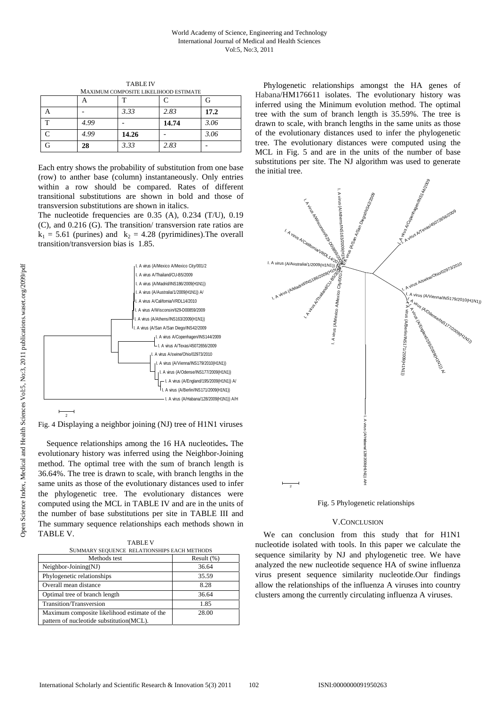| 1110 LL 1 1<br>MAXIMUM COMPOSITE LIKELIHOOD ESTIMATE |      |       |       |      |  |  |  |  |
|------------------------------------------------------|------|-------|-------|------|--|--|--|--|
|                                                      |      |       |       | G    |  |  |  |  |
|                                                      |      | 3.33  | 2.83  | 17.2 |  |  |  |  |
| $\mathbf{r}$                                         | 4.99 |       | 14.74 | 3.06 |  |  |  |  |
|                                                      | 4.99 | 14.26 |       | 3.06 |  |  |  |  |
|                                                      | 28   | 3.33  | 2.83  |      |  |  |  |  |

TABLE IV

Each entry shows the probability of substitution from one base (row) to anther base (column) instantaneously. Only entries within a row should be compared. Rates of different transitional substitutions are shown in bold and those of transversion substitutions are shown in italics.

The nucleotide frequencies are 0.35 (A), 0.234 (T/U), 0.19 (C), and 0.216 (G). The transition/ transversion rate ratios are  $k_1$  = 5.61 (purines) and  $k_2$  = 4.28 (pyrimidines). The overall transition/transversion bias is 1.85.



Fig. 4 Displaying a neighbor joining (NJ) tree of H1N1 viruses

Sequence relationships among the 16 HA nucleotides**.** The evolutionary history was inferred using the Neighbor-Joining method. The optimal tree with the sum of branch length is 36.64%. The tree is drawn to scale, with branch lengths in the same units as those of the evolutionary distances used to infer the phylogenetic tree. The evolutionary distances were computed using the MCL in TABLE IV and are in the units of the number of base substitutions per site in TABLE III and The summary sequence relationships each methods shown in TABLE V.

|                                             | <b>TABLE V</b> |  |
|---------------------------------------------|----------------|--|
| SUMMARY SEQUENCE RELATIONSHIPS EACH METHODS |                |  |

| Methods test                                                                              | Result $(\%)$ |
|-------------------------------------------------------------------------------------------|---------------|
| Neighbor-Joining(NJ)                                                                      | 36.64         |
| Phylogenetic relationships                                                                | 35.59         |
| Overall mean distance                                                                     | 8.28          |
| Optimal tree of branch length                                                             | 36.64         |
| Transition/Transversion                                                                   | 1.85          |
| Maximum composite likelihood estimate of the<br>pattern of nucleotide substitution (MCL). | 28.00         |

Phylogenetic relationships amongst the HA genes of Habana/HM176611 isolates. The evolutionary history was inferred using the Minimum evolution method. The optimal tree with the sum of branch length is 35.59%. The tree is drawn to scale, with branch lengths in the same units as those of the evolutionary distances used to infer the phylogenetic tree. The evolutionary distances were computed using the MCL in Fig. 5 and are in the units of the number of base substitutions per site. The NJ algorithm was used to generate the initial tree.



Fig. 5 Phylogenetic relationships

## V.CONCLUSION

We can conclusion from this study that for H1N1 nucleotide isolated with tools. In this paper we calculate the sequence similarity by NJ and phylogenetic tree. We have analyzed the new nucleotide sequence HA of swine influenza virus present sequence similarity nucleotide.Our findings allow the relationships of the influenza A viruses into country clusters among the currently circulating influenza A viruses.